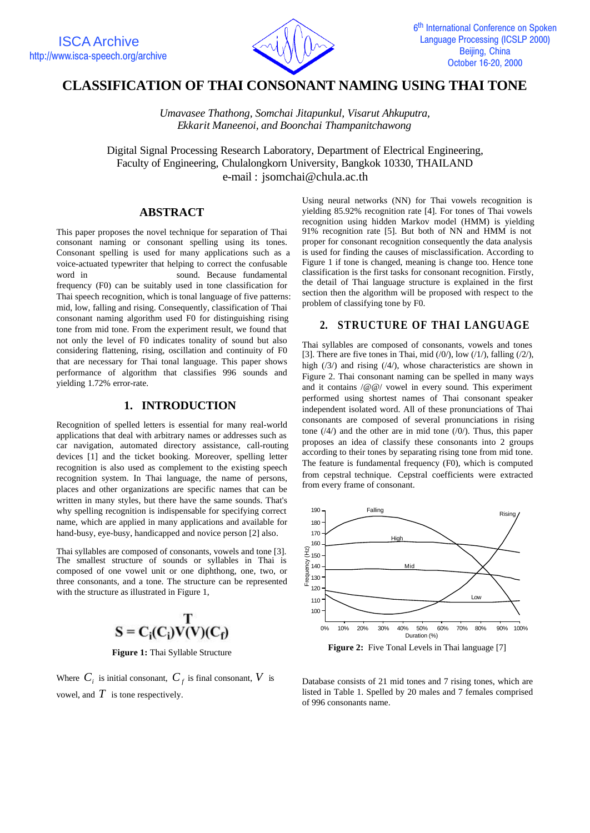

# **CLASSIFICATION OF THAI CONSONANT NAMING USING THAI TONE**

*Umavasee Thathong, Somchai Jitapunkul, Visarut Ahkuputra, Ekkarit Maneenoi, and Boonchai Thampanitchawong*

Digital Signal Processing Research Laboratory, Department of Electrical Engineering, Faculty of Engineering, Chulalongkorn University, Bangkok 10330, THAILAND e-mail : jsomchai@chula.ac.th

# **ABSTRACT**

This paper proposes the novel technique for separation of Thai consonant naming or consonant spelling using its tones. Consonant spelling is used for many applications such as a voice-actuated typewriter that helping to correct the confusable word in sound. Because fundamental frequency (F0) can be suitably used in tone classification for Thai speech recognition, which is tonal language of five patterns: mid, low, falling and rising. Consequently, classification of Thai consonant naming algorithm used F0 for distinguishing rising tone from mid tone. From the experiment result, we found that not only the level of F0 indicates tonality of sound but also considering flattening, rising, oscillation and continuity of F0 that are necessary for Thai tonal language. This paper shows performance of algorithm that classifies 996 sounds and yielding 1.72% error-rate.

### **1. INTRODUCTION**

Recognition of spelled letters is essential for many real-world applications that deal with arbitrary names or addresses such as car navigation, automated directory assistance, call-routing devices [1] and the ticket booking. Moreover, spelling letter recognition is also used as complement to the existing speech recognition system. In Thai language, the name of persons, places and other organizations are specific names that can be written in many styles, but there have the same sounds. That's why spelling recognition is indispensable for specifying correct name, which are applied in many applications and available for hand-busy, eye-busy, handicapped and novice person [2] also.

Thai syllables are composed of consonants, vowels and tone [3]. The smallest structure of sounds or syllables in Thai is composed of one vowel unit or one diphthong, one, two, or three consonants, and a tone. The structure can be represented with the structure as illustrated in Figure 1,



**Figure 1:** Thai Syllable Structure

Where  $C_i$  is initial consonant,  $C_f$  is final consonant,  $V$  is vowel, and  $T$  is tone respectively.

Using neural networks (NN) for Thai vowels recognition is yielding 85.92% recognition rate [4]. For tones of Thai vowels recognition using hidden Markov model (HMM) is yielding 91% recognition rate [5]. But both of NN and HMM is not proper for consonant recognition consequently the data analysis is used for finding the causes of misclassification. According to Figure 1 if tone is changed, meaning is change too. Hence tone classification is the first tasks for consonant recognition. Firstly, the detail of Thai language structure is explained in the first section then the algorithm will be proposed with respect to the problem of classifying tone by F0.

### **2. STRUCTURE OF THAI LANGUAGE**

Thai syllables are composed of consonants, vowels and tones [3]. There are five tones in Thai, mid  $(1)$ , low  $(1)$ , falling  $(2)$ , high (/3/) and rising (/4/), whose characteristics are shown in Figure 2. Thai consonant naming can be spelled in many ways and it contains /@@/ vowel in every sound. This experiment performed using shortest names of Thai consonant speaker independent isolated word. All of these pronunciations of Thai consonants are composed of several pronunciations in rising tone  $(4/)$  and the other are in mid tone  $(0/)$ . Thus, this paper proposes an idea of classify these consonants into 2 groups according to their tones by separating rising tone from mid tone. The feature is fundamental frequency (F0), which is computed from cepstral technique. Cepstral coefficients were extracted from every frame of consonant.



Database consists of 21 mid tones and 7 rising tones, which are listed in Table 1. Spelled by 20 males and 7 females comprised of 996 consonants name.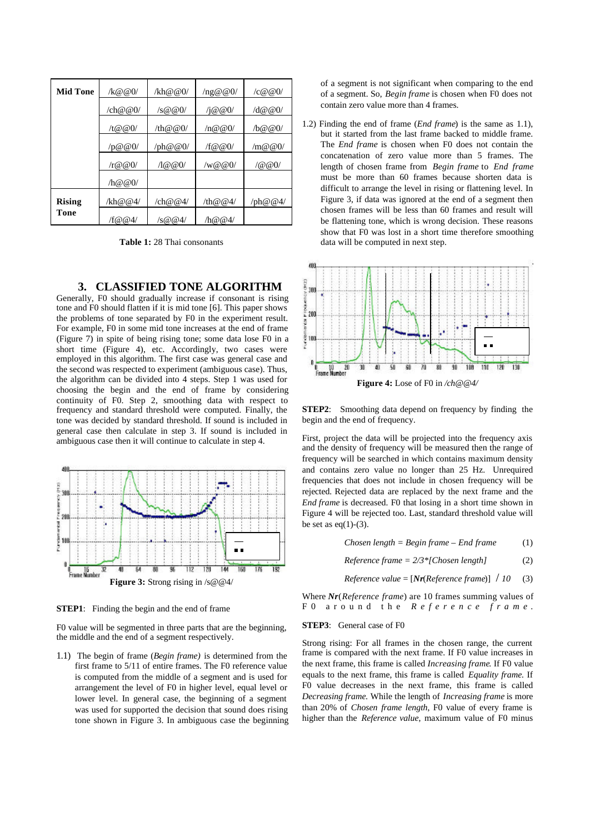| <b>Mid Tone</b> | $\frac{1}{6}$ (eq. 0) | /kh@@0/                                          | $\ln \omega \omega_0$ | $\sqrt{c} @ @0/$       |
|-----------------|-----------------------|--------------------------------------------------|-----------------------|------------------------|
|                 | /ch@@0/               | $\sqrt{s} @ @0/$                                 | $/$ i@@0 $/$          | $\sqrt{d} @ @0/$       |
|                 | /t@@0/                | /th@@ $0/$                                       | $\ln \omega \omega_0$ | /b@@0/                 |
|                 | /p@@0/                | $/\text{ph}\,\textcircled{a}\,\textcircled{a}0/$ | $/$ f@@ $()$          | $\sin \omega \omega_0$ |
|                 | $\pi \omega \omega_0$ | $\sqrt{1000}$                                    | /w@@0/                | 100(0)                 |
|                 | $\ln \omega \omega_0$ |                                                  |                       |                        |
| <b>Rising</b>   | /kh@@4/               | $\sqrt{\ch}$ @ @4/                               | $/\text{th} @ @4/$    | $/\text{ph}@@4/$       |
| Tone            | /f@@4/                | /s@@4/                                           | /h@@4                 |                        |

**Table 1:** 28 Thai consonants

# **3. CLASSIFIED TONE ALGORITHM**

Generally, F0 should gradually increase if consonant is rising tone and F0 should flatten if it is mid tone [6]. This paper shows the problems of tone separated by F0 in the experiment result. For example, F0 in some mid tone increases at the end of frame (Figure 7) in spite of being rising tone; some data lose F0 in a short time (Figure 4), etc. Accordingly, two cases were employed in this algorithm. The first case was general case and the second was respected to experiment (ambiguous case). Thus, the algorithm can be divided into 4 steps. Step 1 was used for choosing the begin and the end of frame by considering continuity of F0. Step 2, smoothing data with respect to frequency and standard threshold were computed. Finally, the tone was decided by standard threshold. If sound is included in general case then calculate in step 3. If sound is included in ambiguous case then it will continue to calculate in step 4.



**STEP1:** Finding the begin and the end of frame

F0 value will be segmented in three parts that are the beginning, the middle and the end of a segment respectively.

1.1) The begin of frame (*Begin frame)* is determined from the first frame to 5/11 of entire frames. The F0 reference value is computed from the middle of a segment and is used for arrangement the level of F0 in higher level, equal level or lower level. In general case, the beginning of a segment was used for supported the decision that sound does rising tone shown in Figure 3. In ambiguous case the beginning of a segment is not significant when comparing to the end of a segment. So, *Begin frame* is chosen when F0 does not contain zero value more than 4 frames.

1.2) Finding the end of frame (*End frame*) is the same as 1.1), but it started from the last frame backed to middle frame. The *End frame* is chosen when F0 does not contain the concatenation of zero value more than 5 frames. The length of chosen frame from *Begin frame* to *End frame* must be more than 60 frames because shorten data is difficult to arrange the level in rising or flattening level. In Figure 3, if data was ignored at the end of a segment then chosen frames will be less than 60 frames and result will be flattening tone, which is wrong decision. These reasons show that F0 was lost in a short time therefore smoothing data will be computed in next step.



**STEP2**: Smoothing data depend on frequency by finding the begin and the end of frequency.

First, project the data will be projected into the frequency axis and the density of frequency will be measured then the range of frequency will be searched in which contains maximum density and contains zero value no longer than 25 Hz. Unrequired frequencies that does not include in chosen frequency will be rejected. Rejected data are replaced by the next frame and the *End frame* is decreased. F0 that losing in a short time shown in Figure 4 will be rejected too. Last, standard threshold value will be set as  $eq(1)-(3)$ .

$$
Chosen length = Begin frame - End frame \qquad (1)
$$

$$
Reference frame = 2/3*[Chosen length]
$$
 (2)

*Reference value* =  $[Nr(Reference frame)] / 10$  (3)

Where *Nr*(*Reference frame*) are 10 frames summing values of F0 around the *Reference frame* .

#### **STEP3**: General case of F0

Strong rising: For all frames in the chosen range, the current frame is compared with the next frame. If F0 value increases in the next frame, this frame is called *Increasing frame*. If F0 value equals to the next frame, this frame is called *Equality frame.* If F0 value decreases in the next frame, this frame is called *Decreasing frame.* While the length of *Increasing frame* is more than 20% of *Chosen frame length*, F0 value of every frame is higher than the *Reference value*, maximum value of F0 minus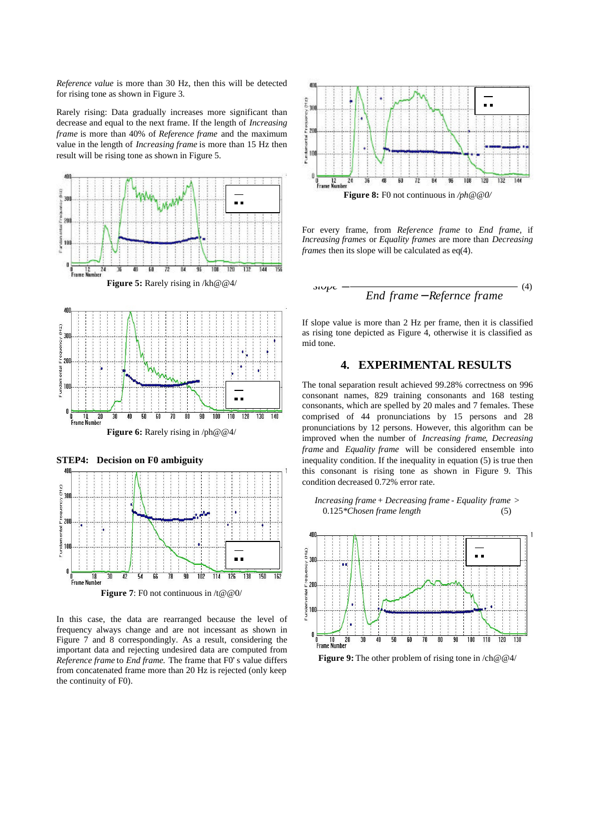*Reference value* is more than 30 Hz, then this will be detected for rising tone as shown in Figure 3.

Rarely rising: Data gradually increases more significant than decrease and equal to the next frame. If the length of *Increasing frame* is more than 40% of *Reference frame* and the maximum value in the length of *Increasing frame* is more than 15 Hz then result will be rising tone as shown in Figure 5.



In this case, the data are rearranged because the level of frequency always change and are not incessant as shown in Figure 7 and 8 correspondingly. As a result, considering the important data and rejecting undesired data are computed from *Reference frame* to *End frame.* The frame that F0's value differs from concatenated frame more than 20 Hz is rejected (only keep the continuity of F0).



For every frame, from *Reference frame* to *End frame,* if *Increasing frames* or *Equality frames* are more than *Decreasing frames* then its slope will be calculated as eq(4).

$$
slope - \frac{End frame - Reference frame}{End frame - Reference frame}
$$
 (4)

If slope value is more than 2 Hz per frame, then it is classified as rising tone depicted as Figure 4, otherwise it is classified as mid tone.

# **4. EXPERIMENTAL RESULTS**

The tonal separation result achieved 99.28% correctness on 996 consonant names, 829 training consonants and 168 testing consonants, which are spelled by 20 males and 7 females. These comprised of 44 pronunciations by 15 persons and 28 pronunciations by 12 persons. However, this algorithm can be improved when the number of *Increasing frame*, *Decreasing frame* and *Equality frame* will be considered ensemble into inequality condition. If the inequality in equation (5) is true then this consonant is rising tone as shown in Figure 9. This condition decreased 0.72% error rate.





**Figure 9:** The other problem of rising tone in  $\langle$ ch@@4 $\rangle$